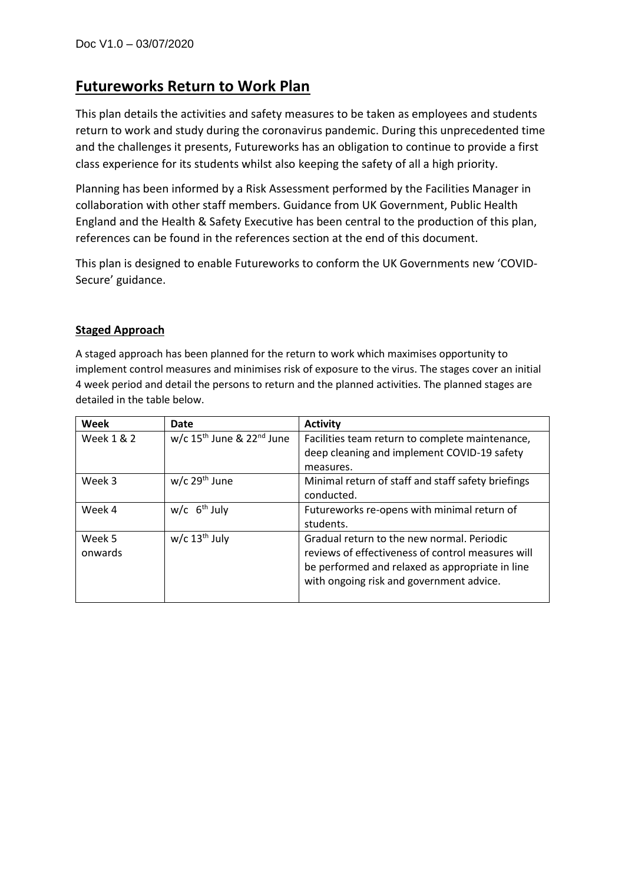# **Futureworks Return to Work Plan**

This plan details the activities and safety measures to be taken as employees and students return to work and study during the coronavirus pandemic. During this unprecedented time and the challenges it presents, Futureworks has an obligation to continue to provide a first class experience for its students whilst also keeping the safety of all a high priority.

Planning has been informed by a Risk Assessment performed by the Facilities Manager in collaboration with other staff members. Guidance from UK Government, Public Health England and the Health & Safety Executive has been central to the production of this plan, references can be found in the references section at the end of this document.

This plan is designed to enable Futureworks to conform the UK Governments new 'COVID-Secure' guidance.

## **Staged Approach**

A staged approach has been planned for the return to work which maximises opportunity to implement control measures and minimises risk of exposure to the virus. The stages cover an initial 4 week period and detail the persons to return and the planned activities. The planned stages are detailed in the table below.

| Week       | Date                                | <b>Activity</b>                                    |
|------------|-------------------------------------|----------------------------------------------------|
| Week 1 & 2 | w/c $15^{th}$ June & $22^{nd}$ June | Facilities team return to complete maintenance,    |
|            |                                     | deep cleaning and implement COVID-19 safety        |
|            |                                     | measures.                                          |
| Week 3     | $w/c$ 29 <sup>th</sup> June         | Minimal return of staff and staff safety briefings |
|            |                                     | conducted.                                         |
| Week 4     | $w/c$ 6 <sup>th</sup> July          | Futureworks re-opens with minimal return of        |
|            |                                     | students.                                          |
| Week 5     | $w/c$ 13 <sup>th</sup> July         | Gradual return to the new normal. Periodic         |
| onwards    |                                     | reviews of effectiveness of control measures will  |
|            |                                     | be performed and relaxed as appropriate in line    |
|            |                                     | with ongoing risk and government advice.           |
|            |                                     |                                                    |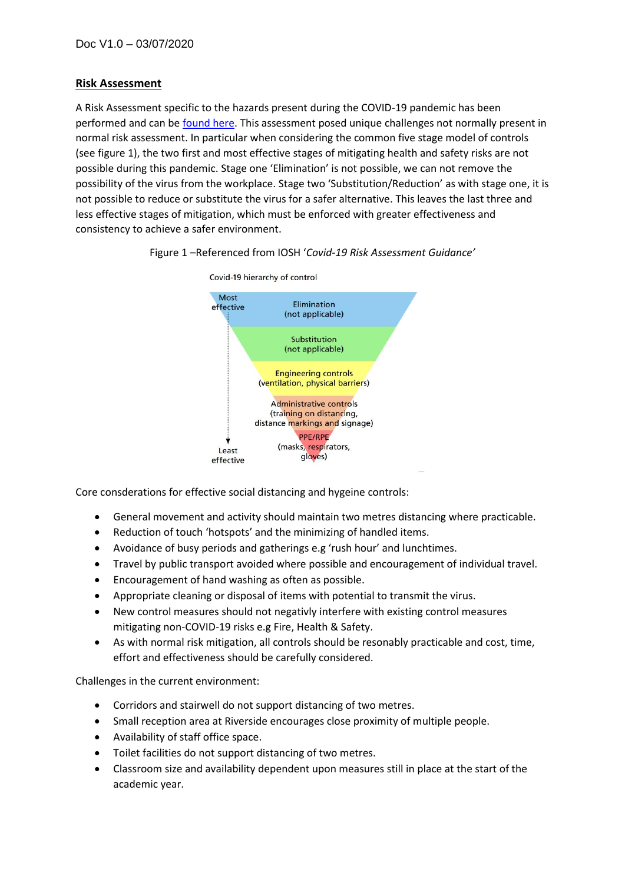## **Risk Assessment**

A Risk Assessment specific to the hazards present during the COVID-19 pandemic has been performed and can be [found here.](https://futureworks.ac.uk/pdfs/FW_Risk_Assessment_COVID-19.pdf) This assessment posed unique challenges not normally present in normal risk assessment. In particular when considering the common five stage model of controls (see figure 1), the two first and most effective stages of mitigating health and safety risks are not possible during this pandemic. Stage one 'Elimination' is not possible, we can not remove the possibility of the virus from the workplace. Stage two 'Substitution/Reduction' as with stage one, it is not possible to reduce or substitute the virus for a safer alternative. This leaves the last three and less effective stages of mitigation, which must be enforced with greater effectiveness and consistency to achieve a safer environment.



#### Figure 1 –Referenced from IOSH '*Covid-19 Risk Assessment Guidance'*

Core consderations for effective social distancing and hygeine controls:

- General movement and activity should maintain two metres distancing where practicable.
- Reduction of touch 'hotspots' and the minimizing of handled items.
- Avoidance of busy periods and gatherings e.g 'rush hour' and lunchtimes.
- Travel by public transport avoided where possible and encouragement of individual travel.
- Encouragement of hand washing as often as possible.
- Appropriate cleaning or disposal of items with potential to transmit the virus.
- New control measures should not negativly interfere with existing control measures mitigating non-COVID-19 risks e.g Fire, Health & Safety.
- As with normal risk mitigation, all controls should be resonably practicable and cost, time, effort and effectiveness should be carefully considered.

Challenges in the current environment:

- Corridors and stairwell do not support distancing of two metres.
- Small reception area at Riverside encourages close proximity of multiple people.
- Availability of staff office space.
- Toilet facilities do not support distancing of two metres.
- Classroom size and availability dependent upon measures still in place at the start of the academic year.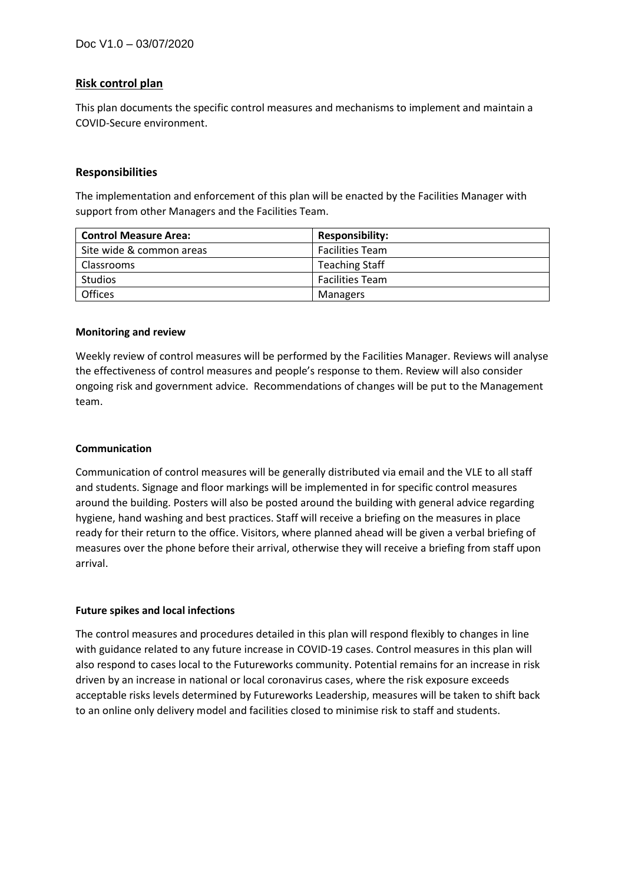## **Risk control plan**

This plan documents the specific control measures and mechanisms to implement and maintain a COVID-Secure environment.

#### **Responsibilities**

The implementation and enforcement of this plan will be enacted by the Facilities Manager with support from other Managers and the Facilities Team.

| <b>Control Measure Area:</b> | <b>Responsibility:</b> |
|------------------------------|------------------------|
| Site wide & common areas     | <b>Facilities Team</b> |
| <b>Classrooms</b>            | <b>Teaching Staff</b>  |
| <b>Studios</b>               | <b>Facilities Team</b> |
| <b>Offices</b>               | Managers               |

#### **Monitoring and review**

Weekly review of control measures will be performed by the Facilities Manager. Reviews will analyse the effectiveness of control measures and people's response to them. Review will also consider ongoing risk and government advice. Recommendations of changes will be put to the Management team.

#### **Communication**

Communication of control measures will be generally distributed via email and the VLE to all staff and students. Signage and floor markings will be implemented in for specific control measures around the building. Posters will also be posted around the building with general advice regarding hygiene, hand washing and best practices. Staff will receive a briefing on the measures in place ready for their return to the office. Visitors, where planned ahead will be given a verbal briefing of measures over the phone before their arrival, otherwise they will receive a briefing from staff upon arrival.

#### **Future spikes and local infections**

The control measures and procedures detailed in this plan will respond flexibly to changes in line with guidance related to any future increase in COVID-19 cases. Control measures in this plan will also respond to cases local to the Futureworks community. Potential remains for an increase in risk driven by an increase in national or local coronavirus cases, where the risk exposure exceeds acceptable risks levels determined by Futureworks Leadership, measures will be taken to shift back to an online only delivery model and facilities closed to minimise risk to staff and students.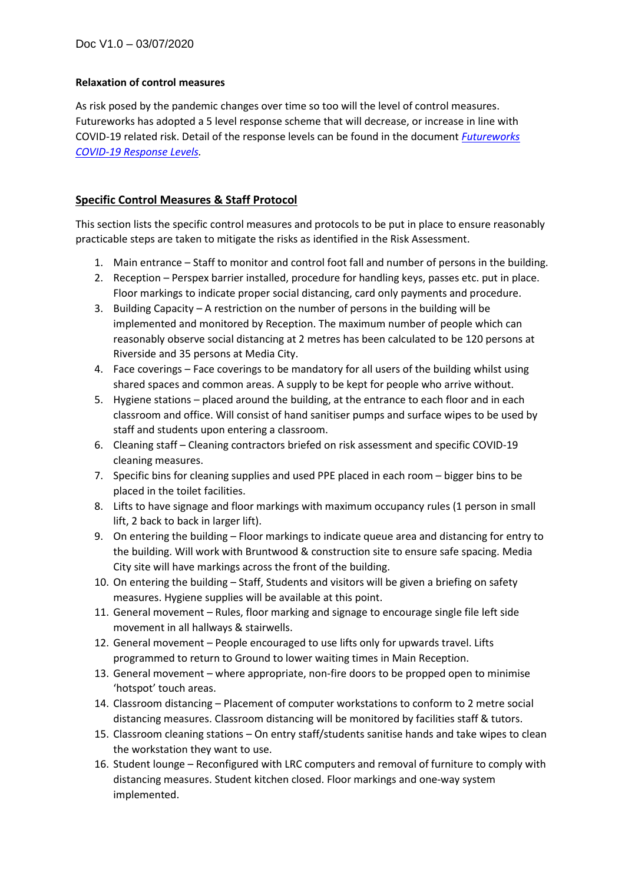## **Relaxation of control measures**

As risk posed by the pandemic changes over time so too will the level of control measures. Futureworks has adopted a 5 level response scheme that will decrease, or increase in line with COVID-19 related risk. Detail of the response levels can be found in the document *[Futureworks](https://futureworks.ac.uk/pdfs/FW_COVID-19_Response_Levels.pdf)  [COVID-19 Response Levels.](https://futureworks.ac.uk/pdfs/FW_COVID-19_Response_Levels.pdf)*

# **Specific Control Measures & Staff Protocol**

This section lists the specific control measures and protocols to be put in place to ensure reasonably practicable steps are taken to mitigate the risks as identified in the Risk Assessment.

- 1. Main entrance Staff to monitor and control foot fall and number of persons in the building.
- 2. Reception Perspex barrier installed, procedure for handling keys, passes etc. put in place. Floor markings to indicate proper social distancing, card only payments and procedure.
- 3. Building Capacity A restriction on the number of persons in the building will be implemented and monitored by Reception. The maximum number of people which can reasonably observe social distancing at 2 metres has been calculated to be 120 persons at Riverside and 35 persons at Media City.
- 4. Face coverings Face coverings to be mandatory for all users of the building whilst using shared spaces and common areas. A supply to be kept for people who arrive without.
- 5. Hygiene stations placed around the building, at the entrance to each floor and in each classroom and office. Will consist of hand sanitiser pumps and surface wipes to be used by staff and students upon entering a classroom.
- 6. Cleaning staff Cleaning contractors briefed on risk assessment and specific COVID-19 cleaning measures.
- 7. Specific bins for cleaning supplies and used PPE placed in each room bigger bins to be placed in the toilet facilities.
- 8. Lifts to have signage and floor markings with maximum occupancy rules (1 person in small lift, 2 back to back in larger lift).
- 9. On entering the building Floor markings to indicate queue area and distancing for entry to the building. Will work with Bruntwood & construction site to ensure safe spacing. Media City site will have markings across the front of the building.
- 10. On entering the building Staff, Students and visitors will be given a briefing on safety measures. Hygiene supplies will be available at this point.
- 11. General movement Rules, floor marking and signage to encourage single file left side movement in all hallways & stairwells.
- 12. General movement People encouraged to use lifts only for upwards travel. Lifts programmed to return to Ground to lower waiting times in Main Reception.
- 13. General movement where appropriate, non-fire doors to be propped open to minimise 'hotspot' touch areas.
- 14. Classroom distancing Placement of computer workstations to conform to 2 metre social distancing measures. Classroom distancing will be monitored by facilities staff & tutors.
- 15. Classroom cleaning stations On entry staff/students sanitise hands and take wipes to clean the workstation they want to use.
- 16. Student lounge Reconfigured with LRC computers and removal of furniture to comply with distancing measures. Student kitchen closed. Floor markings and one-way system implemented.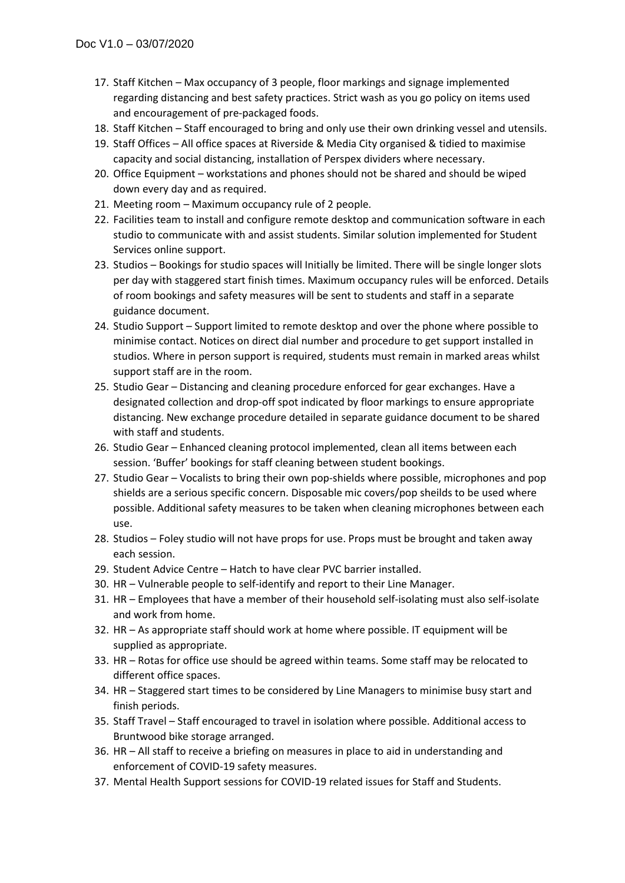- 17. Staff Kitchen Max occupancy of 3 people, floor markings and signage implemented regarding distancing and best safety practices. Strict wash as you go policy on items used and encouragement of pre-packaged foods.
- 18. Staff Kitchen Staff encouraged to bring and only use their own drinking vessel and utensils.
- 19. Staff Offices All office spaces at Riverside & Media City organised & tidied to maximise capacity and social distancing, installation of Perspex dividers where necessary.
- 20. Office Equipment workstations and phones should not be shared and should be wiped down every day and as required.
- 21. Meeting room Maximum occupancy rule of 2 people.
- 22. Facilities team to install and configure remote desktop and communication software in each studio to communicate with and assist students. Similar solution implemented for Student Services online support.
- 23. Studios Bookings for studio spaces will Initially be limited. There will be single longer slots per day with staggered start finish times. Maximum occupancy rules will be enforced. Details of room bookings and safety measures will be sent to students and staff in a separate guidance document.
- 24. Studio Support Support limited to remote desktop and over the phone where possible to minimise contact. Notices on direct dial number and procedure to get support installed in studios. Where in person support is required, students must remain in marked areas whilst support staff are in the room.
- 25. Studio Gear Distancing and cleaning procedure enforced for gear exchanges. Have a designated collection and drop-off spot indicated by floor markings to ensure appropriate distancing. New exchange procedure detailed in separate guidance document to be shared with staff and students.
- 26. Studio Gear Enhanced cleaning protocol implemented, clean all items between each session. 'Buffer' bookings for staff cleaning between student bookings.
- 27. Studio Gear Vocalists to bring their own pop-shields where possible, microphones and pop shields are a serious specific concern. Disposable mic covers/pop sheilds to be used where possible. Additional safety measures to be taken when cleaning microphones between each use.
- 28. Studios Foley studio will not have props for use. Props must be brought and taken away each session.
- 29. Student Advice Centre Hatch to have clear PVC barrier installed.
- 30. HR Vulnerable people to self-identify and report to their Line Manager.
- 31. HR Employees that have a member of their household self-isolating must also self-isolate and work from home.
- 32. HR As appropriate staff should work at home where possible. IT equipment will be supplied as appropriate.
- 33. HR Rotas for office use should be agreed within teams. Some staff may be relocated to different office spaces.
- 34. HR Staggered start times to be considered by Line Managers to minimise busy start and finish periods.
- 35. Staff Travel Staff encouraged to travel in isolation where possible. Additional access to Bruntwood bike storage arranged.
- 36. HR All staff to receive a briefing on measures in place to aid in understanding and enforcement of COVID-19 safety measures.
- 37. Mental Health Support sessions for COVID-19 related issues for Staff and Students.